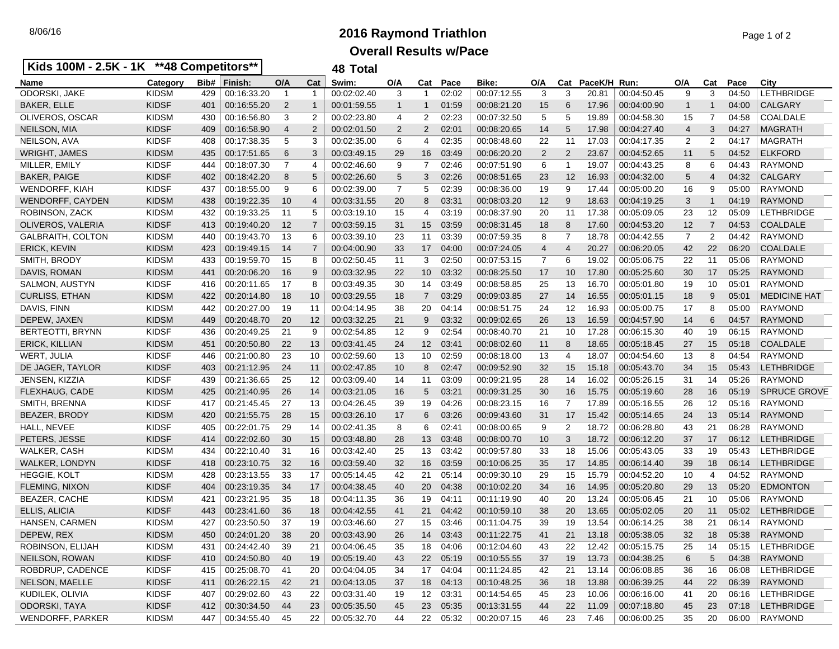## 8/06/16 **2016 Raymond Triathlon** Page 1 of 2 **Overall Results w/Pace**

| Kids 100M - 2.5K - 1K **48 Competitors** |              |      | 48 Total                                         |                |                |             |              |                |          |             |                |                |             |             |                |                |          |                     |
|------------------------------------------|--------------|------|--------------------------------------------------|----------------|----------------|-------------|--------------|----------------|----------|-------------|----------------|----------------|-------------|-------------|----------------|----------------|----------|---------------------|
| Name                                     | Category     | Bib# | Finish:                                          | O/A            | Cat            | Swim:       | O/A          | Cat            | Pace     | Bike:       | O/A            |                | Cat PaceK/H | Run:        | O/A            | Cat            | Pace     | City                |
| <b>ODORSKI, JAKE</b>                     | <b>KIDSM</b> | 429  | 00:16:33.20                                      | $\overline{1}$ | $\mathbf{1}$   | 00:02:02.40 | 3            | -1             | 02:02    | 00:07:12.55 | 3              | 3              | 20.81       | 00:04:50.45 | 9              | 3              | 04:50    | <b>LETHBRIDGE</b>   |
| <b>BAKER, ELLE</b>                       | <b>KIDSF</b> | 401  | 00:16:55.20                                      | $\overline{2}$ | $\mathbf 1$    | 00:01:59.55 | $\mathbf{1}$ | -1             | 01:59    | 00:08:21.20 | 15             | 6              | 17.96       | 00:04:00.90 | $\mathbf{1}$   | 1              | 04:00    | <b>CALGARY</b>      |
| OLIVEROS, OSCAR                          | <b>KIDSM</b> | 430  | 00:16:56.80                                      | 3              | 2              | 00:02:23.80 | 4            | 2              | 02:23    | 00:07:32.50 | 5              | 5              | 19.89       | 00:04:58.30 | 15             | 7              | 04:58    | COALDALE            |
| NEILSON, MIA                             | <b>KIDSF</b> | 409  | 00:16:58.90                                      | $\overline{4}$ | 2              | 00:02:01.50 | 2            | $\overline{2}$ | 02:01    | 00:08:20.65 | 14             | 5              | 17.98       | 00:04:27.40 | 4              | 3              | 04:27    | <b>MAGRATH</b>      |
| NEILSON, AVA                             | <b>KIDSF</b> | 408  | 00:17:38.35                                      | 5              | 3              | 00:02:35.00 | 6            | $\overline{4}$ | 02:35    | 00:08:48.60 | 22             | 11             | 17.03       | 00:04:17.35 | 2              | 2              | 04:17    | <b>MAGRATH</b>      |
| <b>WRIGHT, JAMES</b>                     | <b>KIDSM</b> | 435  | 00:17:51.65                                      | 6              | 3              | 00:03:49.15 | 29           | 16             | 03:49    | 00:06:20.20 | $\overline{2}$ | 2              | 23.67       | 00:04:52.65 | 11             | 5              | 04:52    | <b>ELKFORD</b>      |
| MILLER, EMILY                            | <b>KIDSF</b> | 444  | 00:18:07.30                                      | $\overline{7}$ | 4              | 00:02:46.60 | 9            | $\overline{7}$ | 02:46    | 00:07:51.90 | 6              | -1             | 19.07       | 00:04:43.25 | 8              | 6              | 04:43    | <b>RAYMOND</b>      |
| <b>BAKER, PAIGE</b>                      | <b>KIDSF</b> | 402  | 00:18:42.20                                      | 8              | 5              | 00:02:26.60 | 5            | 3              | 02:26    | 00:08:51.65 | 23             | 12             | 16.93       | 00:04:32.00 | 5              | 4              | 04:32    | <b>CALGARY</b>      |
| <b>WENDORFF, KIAH</b>                    | <b>KIDSF</b> | 437  | 00:18:55.00                                      | -9             | 6              | 00:02:39.00 | 7            | 5              | 02:39    | 00:08:36.00 | 19             | 9              | 17.44       | 00:05:00.20 | 16             | 9              | 05:00    | <b>RAYMOND</b>      |
| WENDORFF, CAYDEN                         | <b>KIDSM</b> | 438  | 00:19:22.35                                      | 10             | 4              | 00:03:31.55 | 20           | 8              | 03:31    | 00:08:03.20 | 12             | 9              | 18.63       | 00:04:19.25 | 3              | 1              | 04:19    | <b>RAYMOND</b>      |
| ROBINSON, ZACK                           | <b>KIDSM</b> | 432  | 00:19:33.25                                      | 11             | 5              | 00:03:19.10 | 15           | $\overline{4}$ | 03:19    | 00:08:37.90 | 20             | 11             | 17.38       | 00:05:09.05 | 23             | 12             | 05:09    | <b>LETHBRIDGE</b>   |
| OLIVEROS, VALERIA                        | <b>KIDSF</b> | 413  | 00:19:40.20                                      | 12             | $\overline{7}$ | 00:03:59.15 | 31           | 15             | 03:59    | 00:08:31.45 | 18             | 8              | 17.60       | 00:04:53.20 | 12             | $\overline{7}$ | 04:53    | <b>COALDALE</b>     |
| <b>GALBRAITH, COLTON</b>                 | <b>KIDSM</b> | 440  | 00:19:43.70                                      | -13            | 6              | 00:03:39.10 | 23           | 11             | 03:39    | 00:07:59.35 | 8              | $\overline{7}$ | 18.78       | 00:04:42.55 | $\overline{7}$ | 2              | 04:42    | <b>RAYMOND</b>      |
| ERICK, KEVIN                             | <b>KIDSM</b> | 423  | 00:19:49.15                                      | -14            | 7              | 00:04:00.90 | 33           | 17             | 04:00    | 00:07:24.05 | 4              | $\overline{4}$ | 20.27       | 00:06:20.05 | 42             | 22             | 06:20    | <b>COALDALE</b>     |
| SMITH, BRODY                             | <b>KIDSM</b> | 433  | 00:19:59.70                                      | 15             | 8              | 00:02:50.45 | 11           | 3              | 02:50    | 00:07:53.15 | $\overline{7}$ | 6              | 19.02       | 00:05:06.75 | 22             | 11             | 05:06    | <b>RAYMOND</b>      |
| DAVIS, ROMAN                             | <b>KIDSM</b> | 441  | 00:20:06.20                                      | 16             | 9              | 00:03:32.95 | 22           | 10             | 03:32    | 00:08:25.50 | 17             | 10             | 17.80       | 00:05:25.60 | 30             | 17             | 05:25    | RAYMOND             |
| SALMON, AUSTYN                           | <b>KIDSF</b> | 416  | 00:20:11.65                                      | -17            | 8              | 00:03:49.35 | 30           | 14             | 03:49    | 00:08:58.85 | 25             | 13             | 16.70       | 00:05:01.80 | 19             | 10             | 05:01    | <b>RAYMOND</b>      |
| <b>CURLISS, ETHAN</b>                    | <b>KIDSM</b> | 422  | 00:20:14.80                                      | 18             | 10             | 00:03:29.55 | 18           | $\overline{7}$ | 03:29    | 00:09:03.85 | 27             | 14             | 16.55       | 00:05:01.15 | 18             | 9              | 05:01    | <b>MEDICINE HAT</b> |
| DAVIS, FINN                              | <b>KIDSM</b> | 442  | 00:20:27.00                                      | 19             | 11             | 00:04:14.95 | 38           | 20             | 04:14    | 00:08:51.75 | 24             | 12             | 16.93       | 00:05:00.75 | 17             | 8              | 05:00    | <b>RAYMOND</b>      |
| DEPEW, JAXEN                             | <b>KIDSM</b> | 449  | 00:20:48.70                                      | 20             | 12             | 00:03:32.25 | 21           | 9              | 03:32    | 00:09:02.65 | 26             | 13             | 16.59       | 00:04:57.90 | 14             | 6              | 04:57    | <b>RAYMOND</b>      |
| BERTEOTTI, BRYNN                         | <b>KIDSF</b> | 436  | 00:20:49.25                                      | 21             | 9              | 00:02:54.85 | 12           | 9              | 02:54    | 00:08:40.70 | 21             | 10             | 17.28       | 00:06:15.30 | 40             | 19             | 06:15    | <b>RAYMOND</b>      |
| <b>ERICK, KILLIAN</b>                    | <b>KIDSM</b> | 451  | 00:20:50.80                                      | 22             | 13             | 00:03:41.45 | 24           | 12             | 03:41    | 00:08:02.60 | 11             | 8              | 18.65       | 00:05:18.45 | 27             | 15             | 05:18    | <b>COALDALE</b>     |
| <b>WERT, JULIA</b>                       | <b>KIDSF</b> | 446  | 00:21:00.80                                      | 23             | 10             | 00:02:59.60 | 13           | 10             | 02:59    | 00:08:18.00 | 13             | 4              | 18.07       | 00:04:54.60 | 13             | 8              | 04:54    | <b>RAYMOND</b>      |
| DE JAGER, TAYLOR                         | <b>KIDSF</b> | 403  | 00:21:12.95                                      | 24             | 11             | 00:02:47.85 | 10           | 8              | 02:47    | 00:09:52.90 | 32             | 15             | 15.18       | 00:05:43.70 | 34             | 15             | 05:43    | <b>LETHBRIDGE</b>   |
| JENSEN, KIZZIA                           | <b>KIDSF</b> | 439  | 00:21:36.65                                      | 25             | 12             | 00:03:09.40 | 14           | 11             | 03:09    | 00:09:21.95 | 28             | 14             | 16.02       | 00:05:26.15 | 31             | 14             | 05:26    | <b>RAYMOND</b>      |
| FLEXHAUG, CADE                           | <b>KIDSM</b> | 425  | 00:21:40.95                                      | 26             | 14             | 00:03:21.05 | 16           | 5              | 03:21    | 00:09:31.25 | 30             | 16             | 15.75       | 00:05:19.60 | 28             | 16             | 05:19    | <b>SPRUCE GROVE</b> |
| SMITH, BRENNA                            | <b>KIDSF</b> | 417  | 00:21:45.45                                      | 27             | 13             | 00:04:26.45 | 39           | 19             | 04:26    | 00:08:23.15 | 16             | 7              | 17.89       | 00:05:16.55 | 26             | 12             | 05:16    | <b>RAYMOND</b>      |
| BEAZER, BRODY                            | <b>KIDSM</b> | 420  | 00:21:55.75                                      | 28             | 15             | 00:03:26.10 | 17           | 6              | 03:26    | 00:09:43.60 | 31             | 17             | 15.42       | 00:05:14.65 | 24             | 13             | 05:14    | <b>RAYMOND</b>      |
| HALL, NEVEE                              | <b>KIDSF</b> | 405  | 00:22:01.75                                      | 29             | 14             | 00:02:41.35 | 8            | 6              | 02:41    | 00:08:00.65 | 9              | 2              | 18.72       | 00:06:28.80 | 43             | 21             | 06:28    | <b>RAYMOND</b>      |
| PETERS, JESSE                            | <b>KIDSF</b> | 414  | 00:22:02.60                                      | 30             | 15             | 00:03:48.80 | 28           | 13             | 03:48    | 00:08:00.70 | 10             | 3              | 18.72       | 00:06:12.20 | 37             | 17             | 06:12    | <b>LETHBRIDGE</b>   |
| WALKER, CASH                             | <b>KIDSM</b> | 434  | 00:22:10.40                                      | 31             | 16             | 00:03:42.40 | 25           | 13             | 03:42    | 00:09:57.80 | 33             | 18             | 15.06       | 00:05:43.05 | 33             | 19             | 05:43    | LETHBRIDGE          |
| <b>WALKER, LONDYN</b>                    | <b>KIDSF</b> | 418  | 00:23:10.75                                      | 32             | 16             | 00:03:59.40 | 32           | 16             | 03:59    | 00:10:06.25 | 35             | 17             | 14.85       | 00:06:14.40 | 39             | 18             | 06:14    | <b>LETHBRIDGE</b>   |
| <b>HEGGIE, KOLT</b>                      | <b>KIDSM</b> | 428  | 00:23:13.55                                      | 33             | 17             | 00:05:14.45 | 42           | 21             | 05:14    | 00:09:30.10 | 29             | 15             | 15.79       | 00:04:52.20 | 10             | 4              | 04:52    | <b>RAYMOND</b>      |
| <b>FLEMING, NIXON</b>                    | <b>KIDSF</b> | 404  | 00:23:19.35                                      | -34            | 17             | 00:04:38.45 | 40           | 20             | 04:38    | 00:10:02.20 | 34             | 16             | 14.95       | 00:05:20.80 | 29             | 13             | 05:20    | <b>EDMONTON</b>     |
| BEAZER, CACHE                            | <b>KIDSM</b> | 421  | 00:23:21.95                                      | 35             | 18             | 00:04:11.35 | 36           | 19             | 04:11    | 00:11:19.90 | 40             | 20             | 13.24       | 00:05:06.45 | 21             | 10             | 05:06    | <b>RAYMOND</b>      |
| ELLIS, ALICIA                            | <b>KIDSF</b> | 443  | 00:23:41.60                                      | 36             | 18             | 00:04:42.55 | 41           | 21             | 04:42    | 00:10:59.10 | 38             | 20             | 13.65       | 00:05:02.05 | 20             | 11             | 05:02    | <b>LETHBRIDGE</b>   |
| <b>HANSEN, CARMEN</b>                    | <b>KIDSM</b> | 427  | 00:23:50.50                                      | -37            | 19             | 00:03:46.60 | 27           | 15             | 03:46    | 00:11:04.75 | 39             | 19             | 13.54       | 00:06:14.25 | 38             | 21             | 06:14    | <b>RAYMOND</b>      |
| DEPEW, REX                               | KIDSM        | 450  | $\begin{array}{ l} 00:24:01.20 & 38 \end{array}$ |                | 20             | 00:03:43.90 | 26           |                | 14 03:43 | 00:11:22.75 | 41             | 21             | 13.18       | 00:05:38.05 | $32\,$         |                | 18 05:38 | <b>RAYMOND</b>      |
| ROBINSON, ELIJAH                         | <b>KIDSM</b> | 431  | 00:24:42.40                                      | -39            | 21             | 00:04:06.45 | 35           | 18             | 04:06    | 00:12:04.60 | 43             | 22             | 12.42       | 00:05:15.75 | 25             | 14             | 05:15    | <b>LETHBRIDGE</b>   |
| NEILSON, ROWAN                           | <b>KIDSF</b> | 410  | 00:24:50.80                                      | 40             | 19             | 00:05:19.40 | 43           |                | 22 05:19 | 00:10:55.55 | 37             | 19             | 13.73       | 00:04:38.25 | 6              | 5 <sup>5</sup> | 04:38    | RAYMOND             |
| ROBDRUP, CADENCE                         | <b>KIDSF</b> | 415  | 00:25:08.70                                      | - 41           | 20             | 00:04:04.05 | 34           | 17             | 04:04    | 00:11:24.85 | 42             | 21             | 13.14       | 00:06:08.85 | 36             | 16             | 06:08    | <b>LETHBRIDGE</b>   |
| NELSON, MAELLE                           | <b>KIDSF</b> | 411  | 00:26:22.15                                      | 42             | 21             | 00:04:13.05 | 37           | 18             | 04:13    | 00:10:48.25 | 36             | 18             | 13.88       | 00:06:39.25 | 44             | 22             | 06:39    | <b>RAYMOND</b>      |
| KUDILEK, OLIVIA                          | <b>KIDSF</b> | 407  | 00:29:02.60                                      | 43             | 22             | 00:03:31.40 | 19           | 12             | 03:31    | 00:14:54.65 | 45             | 23             | 10.06       | 00:06:16.00 | 41             | 20             | 06:16    | <b>LETHBRIDGE</b>   |
| ODORSKI, TAYA                            | <b>KIDSF</b> |      | 412 00:30:34.50                                  | 44             | 23             | 00:05:35.50 | 45           | 23             | 05:35    | 00:13:31.55 | 44             | 22             | 11.09       | 00:07:18.80 | 45             | 23             | 07:18    | <b>LETHBRIDGE</b>   |
| WENDORFF, PARKER                         | <b>KIDSM</b> |      | 447   00:34:55.40                                | 45             | 22             | 00:05:32.70 | 44           |                | 22 05:32 | 00:20:07.15 | 46             |                | 23 7.46     | 00:06:00.25 | 35             | 20             |          | 06:00   RAYMOND     |